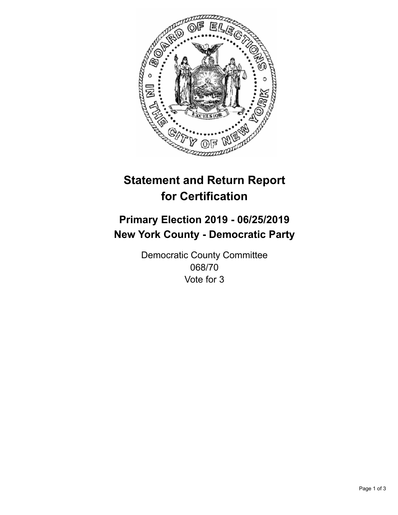

## **Statement and Return Report for Certification**

## **Primary Election 2019 - 06/25/2019 New York County - Democratic Party**

Democratic County Committee 068/70 Vote for 3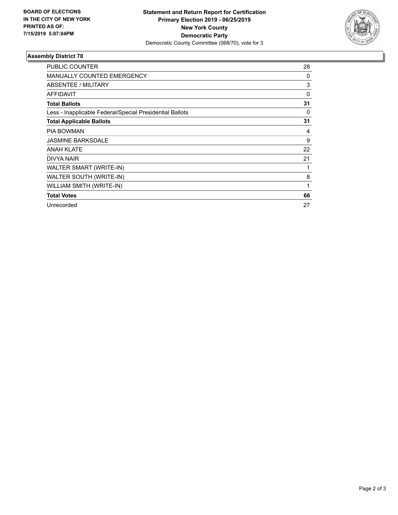

## **Assembly District 70**

| PUBLIC COUNTER                                           | 28 |
|----------------------------------------------------------|----|
| <b>MANUALLY COUNTED EMERGENCY</b>                        | 0  |
| ABSENTEE / MILITARY                                      | 3  |
| AFFIDAVIT                                                | 0  |
| <b>Total Ballots</b>                                     | 31 |
| Less - Inapplicable Federal/Special Presidential Ballots | 0  |
| <b>Total Applicable Ballots</b>                          | 31 |
| <b>PIA BOWMAN</b>                                        | 4  |
| <b>JASMINE BARKSDALE</b>                                 | 9  |
| ANAH KLATE                                               | 22 |
| DIVYA NAIR                                               | 21 |
| WALTER SMART (WRITE-IN)                                  | 1  |
| WALTER SOUTH (WRITE-IN)                                  | 8  |
| WILLIAM SMITH (WRITE-IN)                                 | 1  |
| <b>Total Votes</b>                                       | 66 |
| Unrecorded                                               | 27 |